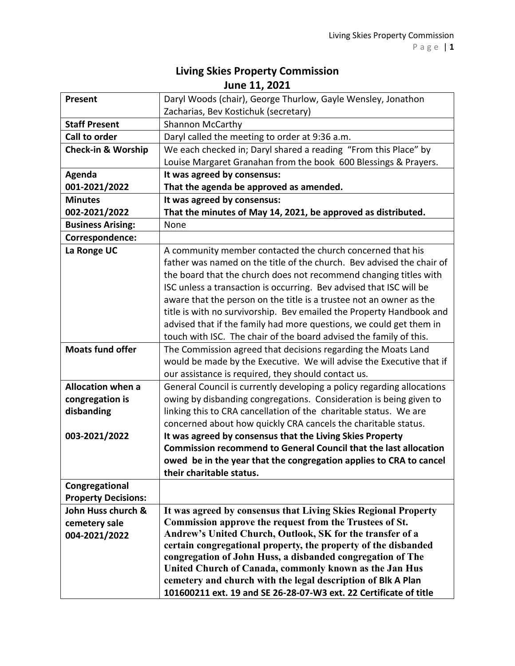## **Living Skies Property Commission June 11, 2021**

| <b>Present</b>                | Daryl Woods (chair), George Thurlow, Gayle Wensley, Jonathon            |
|-------------------------------|-------------------------------------------------------------------------|
|                               | Zacharias, Bev Kostichuk (secretary)                                    |
| <b>Staff Present</b>          | <b>Shannon McCarthy</b>                                                 |
| Call to order                 | Daryl called the meeting to order at 9:36 a.m.                          |
| <b>Check-in &amp; Worship</b> | We each checked in; Daryl shared a reading "From this Place" by         |
|                               | Louise Margaret Granahan from the book 600 Blessings & Prayers.         |
| Agenda                        | It was agreed by consensus:                                             |
| 001-2021/2022                 | That the agenda be approved as amended.                                 |
| <b>Minutes</b>                | It was agreed by consensus:                                             |
| 002-2021/2022                 | That the minutes of May 14, 2021, be approved as distributed.           |
| <b>Business Arising:</b>      | None                                                                    |
| Correspondence:               |                                                                         |
| La Ronge UC                   | A community member contacted the church concerned that his              |
|                               | father was named on the title of the church. Bev advised the chair of   |
|                               |                                                                         |
|                               | the board that the church does not recommend changing titles with       |
|                               | ISC unless a transaction is occurring. Bev advised that ISC will be     |
|                               | aware that the person on the title is a trustee not an owner as the     |
|                               | title is with no survivorship. Bev emailed the Property Handbook and    |
|                               | advised that if the family had more questions, we could get them in     |
|                               | touch with ISC. The chair of the board advised the family of this.      |
| <b>Moats fund offer</b>       | The Commission agreed that decisions regarding the Moats Land           |
|                               | would be made by the Executive. We will advise the Executive that if    |
|                               | our assistance is required, they should contact us.                     |
| <b>Allocation when a</b>      | General Council is currently developing a policy regarding allocations  |
| congregation is               | owing by disbanding congregations. Consideration is being given to      |
| disbanding                    | linking this to CRA cancellation of the charitable status. We are       |
|                               | concerned about how quickly CRA cancels the charitable status.          |
| 003-2021/2022                 | It was agreed by consensus that the Living Skies Property               |
|                               | <b>Commission recommend to General Council that the last allocation</b> |
|                               | owed be in the year that the congregation applies to CRA to cancel      |
|                               | their charitable status.                                                |
| Congregational                |                                                                         |
| <b>Property Decisions:</b>    |                                                                         |
| John Huss church &            | It was agreed by consensus that Living Skies Regional Property          |
| cemetery sale                 | Commission approve the request from the Trustees of St.                 |
| 004-2021/2022                 | Andrew's United Church, Outlook, SK for the transfer of a               |
|                               | certain congregational property, the property of the disbanded          |
|                               | congregation of John Huss, a disbanded congregation of The              |
|                               | United Church of Canada, commonly known as the Jan Hus                  |
|                               | cemetery and church with the legal description of Blk A Plan            |
|                               | 101600211 ext. 19 and SE 26-28-07-W3 ext. 22 Certificate of title       |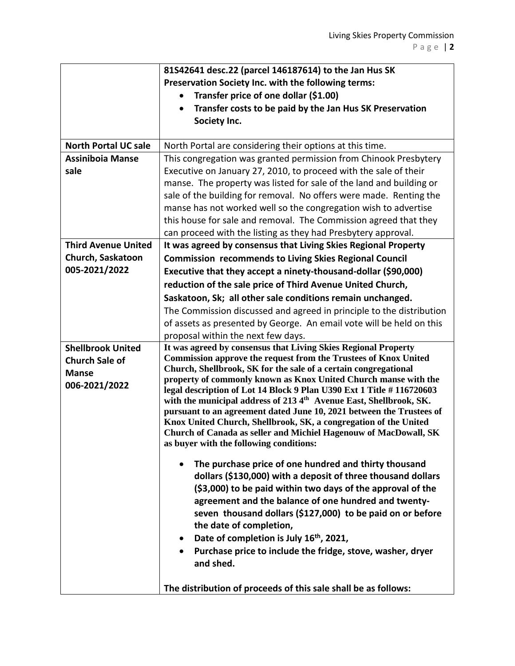|                             | 81S42641 desc.22 (parcel 146187614) to the Jan Hus SK                                                                              |
|-----------------------------|------------------------------------------------------------------------------------------------------------------------------------|
|                             | Preservation Society Inc. with the following terms:                                                                                |
|                             | Transfer price of one dollar (\$1.00)                                                                                              |
|                             | Transfer costs to be paid by the Jan Hus SK Preservation                                                                           |
|                             | Society Inc.                                                                                                                       |
|                             |                                                                                                                                    |
| <b>North Portal UC sale</b> | North Portal are considering their options at this time.                                                                           |
| <b>Assiniboia Manse</b>     | This congregation was granted permission from Chinook Presbytery                                                                   |
| sale                        | Executive on January 27, 2010, to proceed with the sale of their                                                                   |
|                             | manse. The property was listed for sale of the land and building or                                                                |
|                             | sale of the building for removal. No offers were made. Renting the                                                                 |
|                             | manse has not worked well so the congregation wish to advertise                                                                    |
|                             | this house for sale and removal. The Commission agreed that they                                                                   |
|                             | can proceed with the listing as they had Presbytery approval.                                                                      |
| <b>Third Avenue United</b>  | It was agreed by consensus that Living Skies Regional Property                                                                     |
| Church, Saskatoon           | <b>Commission recommends to Living Skies Regional Council</b>                                                                      |
| 005-2021/2022               | Executive that they accept a ninety-thousand-dollar (\$90,000)                                                                     |
|                             | reduction of the sale price of Third Avenue United Church,                                                                         |
|                             | Saskatoon, Sk; all other sale conditions remain unchanged.                                                                         |
|                             | The Commission discussed and agreed in principle to the distribution                                                               |
|                             | of assets as presented by George. An email vote will be held on this                                                               |
|                             | proposal within the next few days.                                                                                                 |
| <b>Shellbrook United</b>    | It was agreed by consensus that Living Skies Regional Property                                                                     |
| <b>Church Sale of</b>       | <b>Commission approve the request from the Trustees of Knox United</b>                                                             |
| <b>Manse</b>                | Church, Shellbrook, SK for the sale of a certain congregational<br>property of commonly known as Knox United Church manse with the |
| 006-2021/2022               | legal description of Lot 14 Block 9 Plan U390 Ext 1 Title #116720603                                                               |
|                             | with the municipal address of 2134 <sup>th</sup> Avenue East, Shellbrook, SK.                                                      |
|                             | pursuant to an agreement dated June 10, 2021 between the Trustees of                                                               |
|                             | Knox United Church, Shellbrook, SK, a congregation of the United                                                                   |
|                             | Church of Canada as seller and Michiel Hagenouw of MacDowall, SK                                                                   |
|                             | as buyer with the following conditions:                                                                                            |
|                             | The purchase price of one hundred and thirty thousand                                                                              |
|                             | dollars (\$130,000) with a deposit of three thousand dollars                                                                       |
|                             | (\$3,000) to be paid within two days of the approval of the                                                                        |
|                             | agreement and the balance of one hundred and twenty-                                                                               |
|                             | seven thousand dollars (\$127,000) to be paid on or before                                                                         |
|                             | the date of completion,                                                                                                            |
|                             | Date of completion is July 16th, 2021,<br>$\bullet$                                                                                |
|                             | Purchase price to include the fridge, stove, washer, dryer                                                                         |
|                             | and shed.                                                                                                                          |
|                             |                                                                                                                                    |
|                             | The distribution of proceeds of this sale shall be as follows:                                                                     |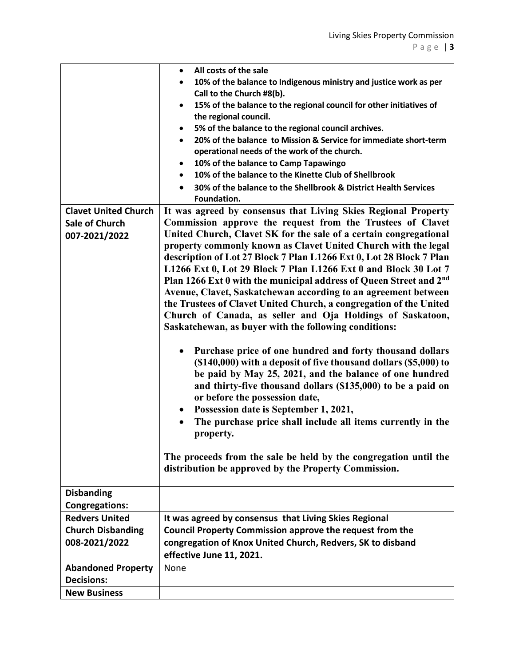|                             | All costs of the sale                                                                  |
|-----------------------------|----------------------------------------------------------------------------------------|
|                             | 10% of the balance to Indigenous ministry and justice work as per                      |
|                             | Call to the Church #8(b).                                                              |
|                             | 15% of the balance to the regional council for other initiatives of<br>$\bullet$       |
|                             | the regional council.                                                                  |
|                             | 5% of the balance to the regional council archives.<br>٠                               |
|                             | 20% of the balance to Mission & Service for immediate short-term<br>$\bullet$          |
|                             | operational needs of the work of the church.                                           |
|                             | 10% of the balance to Camp Tapawingo<br>٠                                              |
|                             | 10% of the balance to the Kinette Club of Shellbrook<br>$\bullet$                      |
|                             | 30% of the balance to the Shellbrook & District Health Services                        |
|                             | Foundation.                                                                            |
| <b>Clavet United Church</b> | It was agreed by consensus that Living Skies Regional Property                         |
| <b>Sale of Church</b>       | Commission approve the request from the Trustees of Clavet                             |
| 007-2021/2022               | United Church, Clavet SK for the sale of a certain congregational                      |
|                             | property commonly known as Clavet United Church with the legal                         |
|                             | description of Lot 27 Block 7 Plan L1266 Ext 0, Lot 28 Block 7 Plan                    |
|                             | L1266 Ext 0, Lot 29 Block 7 Plan L1266 Ext 0 and Block 30 Lot 7                        |
|                             | Plan 1266 Ext 0 with the municipal address of Queen Street and 2nd                     |
|                             | Avenue, Clavet, Saskatchewan according to an agreement between                         |
|                             | the Trustees of Clavet United Church, a congregation of the United                     |
|                             | Church of Canada, as seller and Oja Holdings of Saskatoon,                             |
|                             | Saskatchewan, as buyer with the following conditions:                                  |
|                             |                                                                                        |
|                             | Purchase price of one hundred and forty thousand dollars<br>$\bullet$                  |
|                             | (\$140,000) with a deposit of five thousand dollars (\$5,000) to                       |
|                             | be paid by May 25, 2021, and the balance of one hundred                                |
|                             | and thirty-five thousand dollars (\$135,000) to be a paid on                           |
|                             | or before the possession date,                                                         |
|                             | Possession date is September 1, 2021,<br>$\bullet$                                     |
|                             | The purchase price shall include all items currently in the<br>$\bullet$               |
|                             | property.                                                                              |
|                             |                                                                                        |
|                             | The proceeds from the sale be held by the congregation until the                       |
|                             | distribution be approved by the Property Commission.                                   |
| <b>Disbanding</b>           |                                                                                        |
| <b>Congregations:</b>       |                                                                                        |
| <b>Redvers United</b>       | It was agreed by consensus that Living Skies Regional                                  |
| <b>Church Disbanding</b>    | <b>Council Property Commission approve the request from the</b>                        |
|                             |                                                                                        |
| 008-2021/2022               | congregation of Knox United Church, Redvers, SK to disband<br>effective June 11, 2021. |
|                             |                                                                                        |
| <b>Abandoned Property</b>   | None                                                                                   |
| <b>Decisions:</b>           |                                                                                        |
| <b>New Business</b>         |                                                                                        |